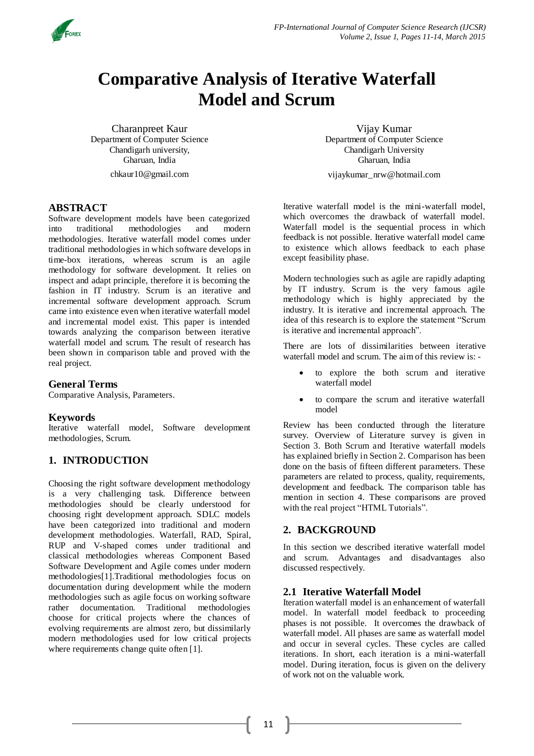

# **Comparative Analysis of Iterative Waterfall Model and Scrum**

Charanpreet Kaur Department of Computer Science Chandigarh university, Gharuan, India

[chkaur10@gmail.com](mailto:chkaur10@gmail.com)

## **ABSTRACT**

Software development models have been categorized into traditional methodologies and modern methodologies. Iterative waterfall model comes under traditional methodologies in which software develops in time-box iterations, whereas scrum is an agile methodology for software development. It relies on inspect and adapt principle, therefore it is becoming the fashion in IT industry. Scrum is an iterative and incremental software development approach. Scrum came into existence even when iterative waterfall model and incremental model exist. This paper is intended towards analyzing the comparison between iterative waterfall model and scrum. The result of research has been shown in comparison table and proved with the real project.

# **General Terms**

Comparative Analysis, Parameters.

### **Keywords**

Iterative waterfall model, Software development methodologies, Scrum.

# **1. INTRODUCTION**

Choosing the right software development methodology is a very challenging task. Difference between methodologies should be clearly understood for choosing right development approach. SDLC models have been categorized into traditional and modern development methodologies. Waterfall, RAD, Spiral, RUP and V-shaped comes under traditional and classical methodologies whereas Component Based Software Development and Agile comes under modern methodologies[1].Traditional methodologies focus on documentation during development while the modern methodologies such as agile focus on working software rather documentation. Traditional methodologies choose for critical projects where the chances of evolving requirements are almost zero, but dissimilarly modern methodologies used for low critical projects where requirements change quite often [1].

Vijay Kumar Department of Computer Science Chandigarh University Gharuan, India

[vijaykumar\\_nrw@hotmail.com](mailto:vijaykumar_nrw@hotmail.com)

Iterative waterfall model is the mini-waterfall model, which overcomes the drawback of waterfall model. Waterfall model is the sequential process in which feedback is not possible. Iterative waterfall model came to existence which allows feedback to each phase except feasibility phase.

Modern technologies such as agile are rapidly adapting by IT industry. Scrum is the very famous agile methodology which is highly appreciated by the industry. It is iterative and incremental approach. The idea of this research is to explore the statement "Scrum is iterative and incremental approach".

There are lots of dissimilarities between iterative waterfall model and scrum. The aim of this review is: -

- to explore the both scrum and iterative waterfall model
- to compare the scrum and iterative waterfall model

Review has been conducted through the literature survey. Overview of Literature survey is given in Section 3. Both Scrum and Iterative waterfall models has explained briefly in Section 2. Comparison has been done on the basis of fifteen different parameters. These parameters are related to process, quality, requirements, development and feedback. The comparison table has mention in section 4. These comparisons are proved with the real project "HTML Tutorials".

# **2. BACKGROUND**

In this section we described iterative waterfall model and scrum. Advantages and disadvantages also discussed respectively.

### **2.1 Iterative Waterfall Model**

Iteration waterfall model is an enhancement of waterfall model. In waterfall model feedback to proceeding phases is not possible. It overcomes the drawback of waterfall model. All phases are same as waterfall model and occur in several cycles. These cycles are called iterations. In short, each iteration is a mini-waterfall model. During iteration, focus is given on the delivery of work not on the valuable work.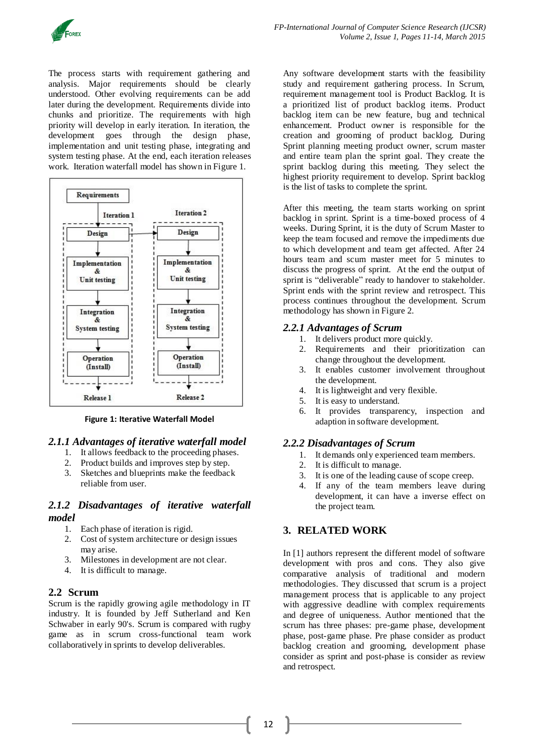

The process starts with requirement gathering and analysis. Major requirements should be clearly understood. Other evolving requirements can be add later during the development. Requirements divide into chunks and prioritize. The requirements with high priority will develop in early iteration. In iteration, the development goes through the design phase, implementation and unit testing phase, integrating and system testing phase. At the end, each iteration releases work. Iteration waterfall model has shown in Figure 1.



**Figure 1: Iterative Waterfall Model**

### *2.1.1 Advantages of iterative waterfall model*

- 1. It allows feedback to the proceeding phases.
- 2. Product builds and improves step by step.
- 3. Sketches and blueprints make the feedback reliable from user.

### *2.1.2 Disadvantages of iterative waterfall model*

- 1. Each phase of iteration is rigid.
- 2. Cost of system architecture or design issues may arise.
- 3. Milestones in development are not clear.
- 4. It is difficult to manage.

### **2.2 Scrum**

Scrum is the rapidly growing agile methodology in IT industry. It is founded by Jeff Sutherland and Ken Schwaber in early 90's. Scrum is compared with rugby game as in scrum cross-functional team work collaboratively in sprints to develop deliverables.

Any software development starts with the feasibility study and requirement gathering process. In Scrum, requirement management tool is Product Backlog. It is a prioritized list of product backlog items. Product backlog item can be new feature, bug and technical enhancement. Product owner is responsible for the creation and grooming of product backlog. During Sprint planning meeting product owner, scrum master and entire team plan the sprint goal. They create the sprint backlog during this meeting. They select the highest priority requirement to develop. Sprint backlog is the list of tasks to complete the sprint.

After this meeting, the team starts working on sprint backlog in sprint. Sprint is a time-boxed process of 4 weeks. During Sprint, it is the duty of Scrum Master to keep the team focused and remove the impediments due to which development and team get affected. After 24 hours team and scum master meet for 5 minutes to discuss the progress of sprint. At the end the output of sprint is "deliverable" ready to handover to stakeholder. Sprint ends with the sprint review and retrospect. This process continues throughout the development. Scrum methodology has shown in Figure 2.

## *2.2.1 Advantages of Scrum*

- 1. It delivers product more quickly.
- 2. Requirements and their prioritization can change throughout the development.
- 3. It enables customer involvement throughout the development.
- 4. It is lightweight and very flexible.
- 5. It is easy to understand.
- 6. It provides transparency, inspection and adaption in software development.

### *2.2.2 Disadvantages of Scrum*

- 1. It demands only experienced team members.
- 2. It is difficult to manage.
- 3. It is one of the leading cause of scope creep.
- 4. If any of the team members leave during development, it can have a inverse effect on the project team.

# **3. RELATED WORK**

In [1] authors represent the different model of software development with pros and cons. They also give comparative analysis of traditional and modern methodologies. They discussed that scrum is a project management process that is applicable to any project with aggressive deadline with complex requirements and degree of uniqueness. Author mentioned that the scrum has three phases: pre-game phase, development phase, post-game phase. Pre phase consider as product backlog creation and grooming, development phase consider as sprint and post-phase is consider as review and retrospect.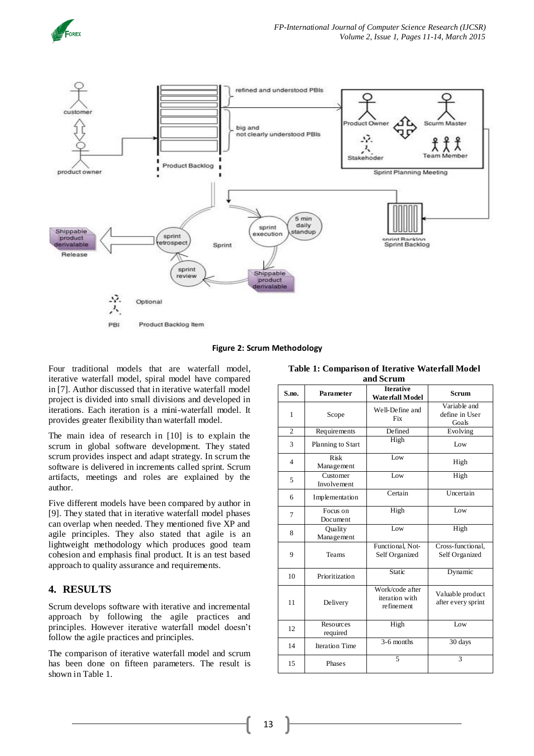



**Figure 2: Scrum Methodology**

Four traditional models that are waterfall model, iterative waterfall model, spiral model have compared in [7]. Author discussed that in iterative waterfall model project is divided into small divisions and developed in iterations. Each iteration is a mini-waterfall model. It provides greater flexibility than waterfall model.

The main idea of research in [10] is to explain the scrum in global software development. They stated scrum provides inspect and adapt strategy. In scrum the software is delivered in increments called sprint. Scrum artifacts, meetings and roles are explained by the author.

Five different models have been compared by author in [9]. They stated that in iterative waterfall model phases can overlap when needed. They mentioned five XP and agile principles. They also stated that agile is an lightweight methodology which produces good team cohesion and emphasis final product. It is an test based approach to quality assurance and requirements.

# **4. RESULTS**

Scrum develops software with iterative and incremental approach by following the agile practices and principles. However iterative waterfall model doesn't follow the agile practices and principles.

The comparison of iterative waterfall model and scrum has been done on fifteen parameters. The result is shown in Table 1.

| Table 1: Comparison of Iterative Waterfall Model |  |  |  |  |
|--------------------------------------------------|--|--|--|--|
| and Scrum                                        |  |  |  |  |

| S.no.          | Parameter                 | <b>Iterative</b><br><b>Waterfall Model</b>      | <b>Scrum</b>                            |
|----------------|---------------------------|-------------------------------------------------|-----------------------------------------|
| 1              | Scope                     | Well-Define and<br><b>Fix</b>                   | Variable and<br>define in User<br>Goals |
| $\overline{c}$ | Requirements              | Defined                                         | Evolving                                |
| 3              | Planning to Start         | High                                            | $I_0w$                                  |
| $\overline{4}$ | <b>Risk</b><br>Management | $I_0w$                                          | High                                    |
| 5              | Customer<br>Involvement   | $I_0w$                                          | High                                    |
| 6              | Implementation            | Certain                                         | Uncertain                               |
| 7              | Focus on<br>Document      | High                                            | Low                                     |
| 8              | Quality<br>Management     | $I_0w$                                          | High                                    |
| 9              | Teams                     | Functional, Not-<br>Self Organized              | Cross-functional,<br>Self Organized     |
| 10             | Prioritization            | Static                                          | Dynamic                                 |
| 11             | Delivery                  | Work/code after<br>iteration with<br>refinement | Valuable product<br>after every sprint  |
| 12             | Resources<br>required     | High                                            | Low                                     |
| 14             | <b>Iteration Time</b>     | 3-6 months                                      | 30 days                                 |
| 15             | Phases                    | 5                                               | 3                                       |